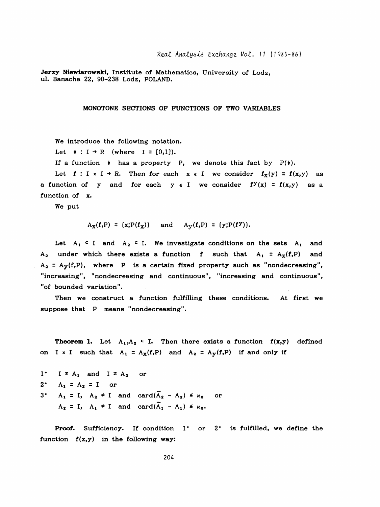Jerzy Niewiarowski, Institute of Mathematics. University of Lodz. ul. Banacha 22, 90-238 Lodz, POLAND.

MONOTONE SECTIONS OF FUNCTIONS OF TWO VARIABLES

We introduce the following notation.

Let  $\div : I \rightarrow R$  (where  $I = [0,1]$ ).

If a function  $\star$  has a property P, we denote this fact by  $P(\star)$ .

Let  $f: I \times I \to R$ . Then for each  $x \in I$  we consider  $f_X(y) = f(x,y)$  as a function of y and for each  $y \in I$  we consider  $f^y(x) = f(x,y)$  as a function of x.

We put

$$
A_X(f, P) = {x; P(f_X)}
$$
 and  $A_Y(f, P) = {y; P(fY)}$ .

Let  $A_1 \subset I$  and  $A_2 \subset I$ . We investigate conditions on the sets  $A_1$  and  $A_2$  under which there exists a function f such that  $A_1 = A_X(f, P)$  and  $A_2 = A_y(f, P)$ , where P is a certain fixed property such as "nondecreasing", "increasing", "nondecreasing and continuous", "increasing and continuous", "of bounded variation".

 Then we construct a function fulfilling these conditions. At first we suppose that P means "nondecreasing".

**Theorem 1.** Let  $A_1, A_2 \subset I$ . Then there exists a function  $f(x,y)$  defined on I x I such that  $A_1 = A_X(f,P)$  and  $A_2 = A_Y(f,P)$  if and only if

1<sup>\*</sup> I 
$$
\neq
$$
 A<sub>1</sub> and I  $\neq$  A<sub>2</sub> or  
\n2<sup>\*</sup> A<sub>1</sub> = A<sub>2</sub> = I or  
\n3<sup>\*</sup> A<sub>1</sub> = I, A<sub>2</sub>  $\neq$  I and card( $\overline{A}_2 - A_2$ )  $\neq$  x<sub>0</sub> or  
\nA<sub>2</sub> = I, A<sub>1</sub>  $\neq$  I and card( $\overline{A}_1 - A_1$ )  $\neq$  x<sub>0</sub>.

Proof. Sufficiency. If condition 1<sup>\*</sup> or 2<sup>\*</sup> is fulfilled, we define the function  $f(x,y)$  in the following way: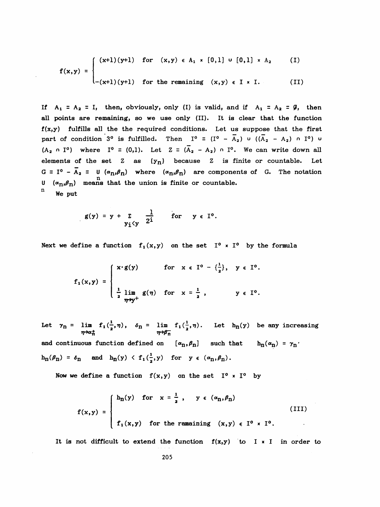$$
f(x,y) = \begin{cases} (x+1)(y+1) & \text{for } (x,y) \in A_1 \times [0,1] \cup [0,1] \times A_2 \\ - (x+1)(y+1) & \text{for the remaining } (x,y) \in I \times I. \end{cases}
$$
 (I)

If  $A_1 = A_2 = I$ , then, obviously, only (I) is valid, and if  $A_1 = A_2 = \emptyset$ , then all points are remaining, so we use only (II). It is clear that the function  $f(x,y)$  fulfills all the the required conditions. Let us suppose that the first part of condition 3<sup>o</sup> is fulfilled. Then  $I^0 = (I^0 - \bar{A}_2)$  u  $((\bar{A}_2 - A_2)$  n  $I^0)$  u  $(A_2 \cap I^o)$  where  $I^o = (0,1)$ . Let  $Z = (\overline{A}_2 - A_2) \cap I^o$ . We can write down all elements of the set  $Z$  as  $\{y_n\}$  because  $Z$  is finite or countable. Let G =  $I^0$  -  $\overline{A}_2$  = U ( $\alpha_n$ , $\beta_n$ ) where  $(\alpha_n,\beta_n)$  are components of G. The notation  $U$  ( $\alpha_{\text{n}}$ , $\beta_{\text{n}}$ ) means that the union is finite or countable. We put

$$
g(y) = y + \sum_{y_i < y} \frac{1}{2^i}
$$
 for  $y \in I^0$ .

Next we define a function  $f_1(x,y)$  on the set  $I^0 \times I^0$  by the formula

$$
f_1(x,y) = \begin{cases} x \cdot g(y) & \text{for } x \in I^0 - \{\frac{1}{2}\}, y \in I^0. \\ \frac{1}{2} \lim_{\eta \to y^+} g(\eta) & \text{for } x = \frac{1}{2}, y \in I^0. \end{cases}
$$

Let  $\gamma_n = \lim_{\eta \to \alpha_n^+} f_1(\frac{1}{2}, \eta), \quad \delta_n = \lim_{\eta \to \beta_n^-} f_1(\frac{1}{2}, \eta).$  Let  $h_n(y)$  be any increasing  $\eta \to \alpha_n^+$ and continuous function defined on  $[\alpha_n,\beta_n]$  such that  $h_n(\alpha_n) = \gamma_n'$  $h_n(\beta_n) = \delta_n$  and  $h_n(y) \leq f_1(\frac{1}{2}, y)$  for  $y \in (\alpha_n, \beta_n)$ .

Now we define a function  $f(x,y)$  on the set  $I^0 \times I^0$  by

$$
f(x,y) = \begin{cases} h_{n}(y) & \text{for } x = \frac{1}{2}, y \in (\alpha_{n}, \beta_{n}) \\ f_{1}(x,y) & \text{for the remaining } (x,y) \in I^{0} \times I^{0}. \end{cases}
$$
(III)

It is not difficult to extend the function  $f(x,y)$  to I x I in order to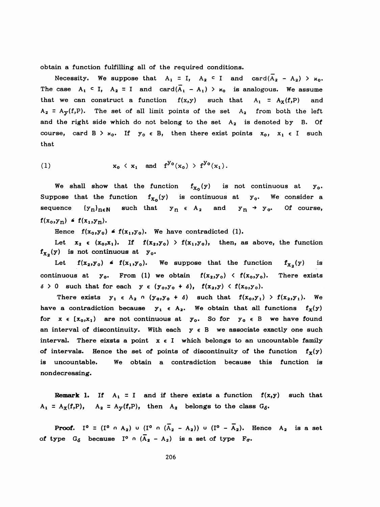obtain a function fulfilling all of the required conditions.

Necessity. We suppose that  $A_1 = I$ ,  $A_2 \subset I$  and  $card(\overline{A}_2 - A_2) > \kappa_0$ . The case  $A_1 \subset I$ ,  $A_2 = I$  and  $card(\overline{A}_1 - A_1) > \kappa_0$  is analogous. We assume that we can construct a function  $f(x,y)$  such that  $A_1 = A_x(f,P)$  and  $A_2 = A_y(f, P)$ . The set of all limit points of the set  $A_2$  from both the left and the right side which do not belong to the set  $A_2$  is denoted by B. Of course, card B >  $x_0$ . If  $y_0 \in B$ , then there exist points  $x_0$ ,  $x_1 \in I$  such that

(1) 
$$
\mathbf{x}_0 \langle \mathbf{x}_1 \text{ and } \mathbf{f}^{y_0}(\mathbf{x}_0) \rangle \mathbf{f}^{y_0}(\mathbf{x}_1).
$$

We shall show that the function  $f_{X_0}(y)$  is not continuous at  $y_0$ . Suppose that the function  $f_{X_0}(y)$  is continuous at  $y_0$ . We consider a sequence  $\{y_n\}_{n\in\mathbb{N}}$  such that  $y_n \in A_2$  and  $y_n \rightarrow y_0$ . Of course,  $f(x_0, y_n) \triangleq f(x_1, y_n).$ 

Hence  $f(x_0,y_0) \triangleq f(x_1,y_0)$ . We have contradicted (1).

Let  $x_2 \in (x_0, x_1)$ . If  $f(x_2, y_0) > f(x_1, y_0)$ , then, as above, the function  $f_{X_2}(y)$  is not continuous at  $y_0$ .

Let  $f(x_2,y_0) \triangleq f(x_1,y_0)$ . We suppose that the function  $f_{x_2}(y)$  is continuous at  $y_o$ . From (1) we obtain  $f(x_2,y_0) \leftarrow f(x_0,y_0)$ . There exists  $\delta > 0$  such that for each  $y \in (y_0, y_0 + \delta)$ ,  $f(x_2, y) < f(x_0, y_0)$ .

There exists  $y_1 \in A_2 \cap (y_0, y_0 + \delta)$  such that  $f(x_0, y_1) > f(x_2, y_1)$ . We have a contradiction because  $y_1 \in A_2$ . We obtain that all functions  $f_x(y)$ for  $x \in [x_0, x_1)$  are not continuous at  $y_0$ . So for  $y_0 \in B$  we have found an interval of discontinuity. With each  $y \in B$  we associate exactly one such interval. There eixsts a point  $x \in I$  which belongs to an uncountable family of intervals. Hence the set of points of discontinuity of the function  $f_{\chi}(y)$  is uncountable. We obtain a contradiction because this function is nondecreasing.

**Remark 1.** If  $A_1 = I$  and if there exists a function  $f(x,y)$  such that  $A_1 = A_X(f, P)$ ,  $A_2 = A_Y(f, P)$ , then  $A_2$  belongs to the class  $G_{\delta}$ .

**Proof.** I<sup>o</sup> = (I<sup>o</sup>  $\circ$  A<sub>2</sub>) u (I<sup>o</sup>  $\circ$  (A<sub>2</sub> - A<sub>2</sub>)) u (I<sup>o</sup> - A<sub>2</sub>). Hence A<sub>2</sub> is a set of type  $G_{\delta}$  because  $I^{\circ} \cap (\overline{A}_{2} - A_{2})$  is a set of type  $F_{\sigma}$ .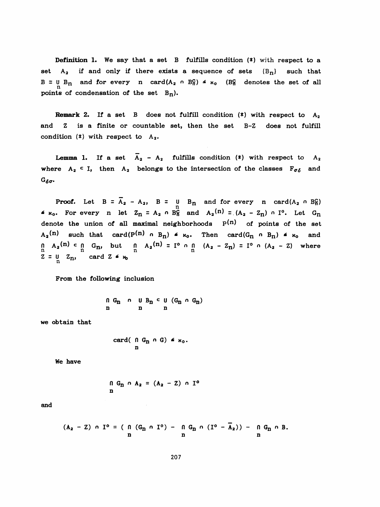Definition 1. We say that a set B fulfills condition (\*) with respect to a set  $A_2$  if and only if there exists a sequence of sets  $(B_n)$  such that  $B = U B_n$  and for every n card( $A_2 \cap B_0^C$ )  $\le \times_0$  (B<sub>n</sub> denotes the set of all points of condensation of the set  $B_n$ ).

**Remark 2.** If a set B does not fulfill condition  $(*)$  with respect to  $A_2$  and Z is a finite or countable set, then the set B-Z does not fulfill condition  $(*)$  with respect to  $A_2$ .

**Lemma 1.** If a set  $\overline{A}_2 - A_2$  fulfills condition (\*) with respect to  $A_2$ where  $A_2 \subset I$ , then  $A_2$  belongs to the intersection of the classes  $F_{\sigma\delta}$  and  $G_{\delta\sigma}$ .

**Proof.** Let  $B = A_2 - A_2$ ,  $B = \bigcup_{n=0}^{\infty} B_n$  and for every n card( $A_2$  o  $B_n^C$ )  $*$   $\kappa_0$ . For every n let  $Z_n = A_2 \cap B_n^C$  and  $A_2(n) = (A_2 - Z_n) \cap I^0$ . Let  $G_n$ denote the union of all maximal neighborhoods  $p(n)$  of points of the set  $A_2(n)$  such that card( $P(n)$  o  $B_n$ )  $\leq$   $\kappa_0$ . Then card( $G_n$  o  $B_n$ )  $\leq$   $\kappa_0$  and  $A_2(n)$  such that card( $P(n)$   $\cap$   $B_n$ )  $\leq \kappa_0$ .<br>  $\bigcap_{n}$   $A_2(n)$  c  $\bigcap_{n}$  G<sub>n</sub>, but  $\bigcap_{n}$   $A_2(n)$  =  $I^0$   $\cap$   $\bigcap_{n}$ <br>  $Z = \underbrace{U}$   $Z_n$ , card  $Z \leq \kappa_0$  $n \begin{bmatrix} 1 & A_2(n) & c & n \\ n & a_1 & b_1 \end{bmatrix}$  but  $n \begin{bmatrix} 1 & A_2(n) & d_1 \\ n & a_2(n) & d_1 \end{bmatrix}$  (A<sub>2</sub> - Z<sub>n</sub>) = I<sup>o</sup> n (A<sub>2</sub> - Z) where  $Z = U_{n} Z_{n}$ , card  $Z \nmid \kappa_{0}$ 

From the following inclusion

 $\begin{array}{ccccc} \cap & G_n & \cap & \cup & B_n & \subset & \cup & (G_n & \cap & G_n) \\ n & & n & & n & \end{array}$ 

we obtain that

card(
$$
0
$$
  $G_n$   $\cap$   $G$ )  $\leq \times_0$ .  
n

We have

$$
\begin{array}{c}\n0 \text{ G}_n \cap A_2 = (A_2 - Z) \cap I^0 \\
n\end{array}
$$

and

$$
(A_2 - Z) \cap I^o = ( \bigcap_{n=1}^{n} (G_n \cap I^o) - \bigcap_{n=1}^{n} G_n \cap (I^o - \overline{A}_2)) - \bigcap_{n=1}^{n} G_n \cap B.
$$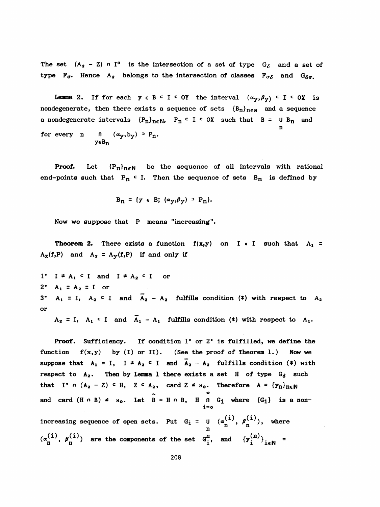The set  $(A_2 - Z) \cap I^0$  is the intersection of a set of type  $G_6$  and a set of type  $F_{\sigma}$ . Hence A<sub>2</sub> belongs to the intersection of classes  $F_{\sigma}$  and  $G_{\delta\sigma}$ .

Lemma 2. If for each  $y \in B \subseteq I \subseteq OY$  the interval  $(\alpha_y, \beta_y) \subseteq I \subseteq OX$  is nondegenerate, then there exists a sequence of sets  ${B_n}_{n \in N}$  and a sequence a nondegenerate intervals  ${P_n}_{n \in \mathbb{N}}$ ,  $P_n \subset I \subset OX$  such that  $B = U B_n$  and n for every n  $\int_{0}^{x} (\alpha_y, b_y) \rvert^2 P_n$ . ycBn

**Proof.** Let  ${P_n}_{n \in \mathbb{N}}$  be the sequence of all intervals with rational end-points such that  $P_n \subset I$ . Then the sequence of sets  $B_n$  is defined by

$$
B_n = \{y \in B; (\alpha_y, \beta_y) \supset P_n\}.
$$

Now we suppose that P means "increasing".

**Theorem 2.** There exists a function  $f(x,y)$  on I  $x$  I such that  $A_1 =$  $A_{\mathbf{X}}(f, P)$  and  $A_2 = A_{\mathbf{Y}}(f, P)$  if and only if

1\*  $I \neq A_1$  c I and  $I \neq A_2$  c I or 2<sup>\*</sup> A<sub>1</sub> = A<sub>2</sub> = I or 3<sup>\*</sup> A<sub>1</sub> = I, A<sub>2</sub><sup>c</sup> I and  $\overline{A}_2$  - A<sub>2</sub> fulfills condition (\*) with respect to A<sub>2</sub> or

 $A_2 = I$ ,  $A_1 \subset I$  and  $\overline{A}_1 - A_1$  fulfills condition (\*) with respect to  $A_1$ .

Proof. Sufficiency. If condition 1° or 2° is fulfilled, we define the function  $f(x,y)$  by (I) or II). (See the proof of Theorem 1.) Now we suppose that  $A_1 = I$ ,  $I \neq A_2 \subseteq I$  and  $\overline{A}_2 - A_2$  fulfills condition (\*) with respect to  $A_2$ . Then by Lemma 1 there exists a set H of type  $G_{\delta}$  such that I<sup>\*</sup> n (A<sub>2</sub> - Z)  $\subset$  H, Z  $\subset$  A<sub>2</sub>, card Z  $\leq$   $\kappa_0$ . Therefore A = {y<sub>n</sub>}<sub>ne</sub>N and card  $(H \cap B)$   $\le \times_0$ . Let  $B = H \cap B$ ,  $H \cap G_i$  where  $\{G_i\}$  is a non i=o  $(3)$   $(3)$ increasing sequence of open sets. Put  $G_i = U (\alpha_n^{\lambda} , \beta_n^{\lambda} )$ , where n  $(a_n^{(i)}, \beta_n^{(i)})$  are the components of the set  $G_i^n$ , and  ${y_i^{(n)}}_{i\in\mathbb{N}}$  =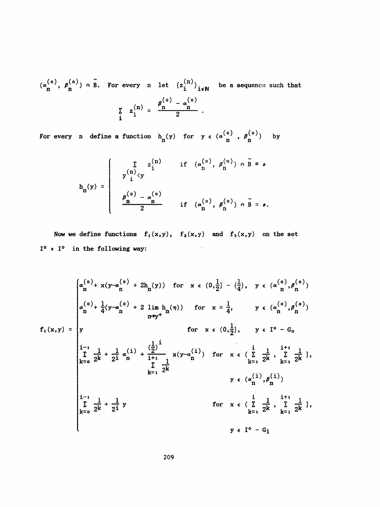$(\alpha_n^{(0)}, \beta_n^{(0)})$  o  $\widetilde{B}$ . For every n let  $\{z_i^{(n)}\}_{i \in \mathbb{N}}$  be a sequence such that  $(\alpha_n^{(o)}, \beta_n^{(o)})$  on  $\tilde{B}$ . For every n let  $\{z_i^{(n)}\}_{i \in \mathbb{N}}$  be a sequence such that  $\beta$ <sup>(v)</sup> –  $\sum_{i}$  z $\binom{n}{i}$  =  $\frac{r}{n}$ 

For every n define a function  $h_n(y)$  for  $y \in (\alpha \binom{0}{n}$ ,  $\beta \binom{0}{n}$  by

$$
h_n(y) = \begin{cases} \sum_{\substack{n \to \infty \\ n \neq 0}} z_1^{(n)} & \text{if } (\alpha_n^{(o)}, \beta_n^{(o)}) \cap \tilde{B} \neq \emptyset \\ y_1^{(o)} & \text{if } (\alpha_n^{(o)}, \beta_n^{(o)}) \cap \tilde{B} = \emptyset. \\ \frac{\beta_n^{(o)} - \alpha_n^{(o)}}{2} & \text{if } (\alpha_n^{(o)}, \beta_n^{(o)}) \cap \tilde{B} = \emptyset. \end{cases}
$$

Now we define functions  $f_1(x,y)$ ,  $f_2(x,y)$  and  $f_3(x,y)$  on the set  $I^0$  \*  $I^0$  in the following way:

$$
f_{1}(x,y) = \begin{cases} \alpha_{n}^{(0)} + x(y-\alpha_{n}^{(0)}) + 2h_{n}(y)) & \text{for } x \in (0, \frac{1}{2}] - \{\frac{1}{4}\}, y \in (\alpha_{n}^{(0)}, \beta_{n}^{(0)}) \\ \alpha_{n}^{(0)} + \frac{1}{4}(y-\alpha_{n}^{(0)}) + 2 \lim_{n \to y^{+}} h_{n}(n)) & \text{for } x = \frac{1}{4}, y \in (\alpha_{n}^{(0)}, \beta_{n}^{(0)}) \\ \text{for } x \in (0, \frac{1}{2}], y \in I^{0} - G_{0} \end{cases}
$$
  

$$
f_{1}(x,y) = \begin{cases} \alpha_{n}^{(0)} + \frac{1}{4}(y-\alpha_{n}^{(0)}) + 2 \lim_{n \to y^{+}} h_{n}(n)) & \text{for } x \in (\frac{1}{2}, 1, y \in I^{0} - G_{0} \\ \alpha_{n}^{(0)} + \frac{1}{2^{2}} + \frac{1}{2^{2}} \alpha_{n}^{(1)} + \frac{1}{2^{2}} + \frac{1}{2^{2}} \alpha_{n}^{(1)}) & \text{for } x \in (\sum_{k=1}^{1} \frac{1}{2^{k}}, \sum_{k=1}^{k} \frac{1}{2^{k}}], \\ y \in (\alpha_{n}^{(1)}, \beta_{n}^{(1)}) \\ \alpha_{n}^{(1)} + \frac{1}{2^{k}} + \frac{1}{2^{k}} \alpha_{n}^{(1)} & \text{for } x \in (\sum_{k=1}^{1} \frac{1}{2^{k}}, \sum_{k=1}^{i+1} \frac{1}{2^{k}}], \\ y \in I^{0} - G_{i} \end{cases}
$$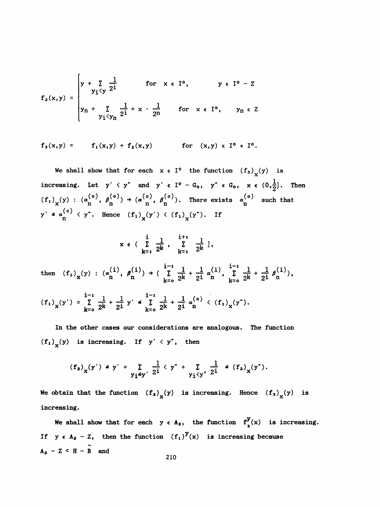$$
f_{2}(x,y) = \begin{cases} y + \sum_{y_{i} \leq y} \frac{1}{2^{i}} & \text{for } x \in I^{0}, & y \in I^{0} - Z \\ y_{n} + \sum_{y_{i} \leq y_{n}} \frac{1}{2^{i}} + x \cdot \frac{1}{2^{n}} & \text{for } x \in I^{0}, & y_{n} \in Z \end{cases}
$$

$$
f_3(x,y) =
$$
  $f_1(x,y) + f_2(x,y)$  for  $(x,y) \in I^0 \times I^0$ .

We shall show that for each  $x \in I^0$  the function  $(f_3)_x(y)$  is increasing. Let  $y' \le y''$  and  $y' \in I^0 - G_0$ ,  $y'' \in G_0$ ,  $x \in (0,\frac{1}{2}]$ . Then  $(f_1)_x(y) : (\alpha_n^{(0)}, \beta_n^{(0)}) \rightarrow (\alpha_n^{(0)}, \beta_n^{(0)})$ . There exists  $\alpha_n^{(0)}$  such that  $y' \triangleq \alpha_{n}^{(0)} \langle y''$ . Hence  $(f_1)_{x}(y') \langle (f_1)_{x}(y'')$ . If

$$
x \in \left(\sum_{k=1}^{i} \frac{1}{2^{k}}, \sum_{k=1}^{i+1} \frac{1}{2^{k}}\right],
$$

then  $(f_1)_x(y) : (\alpha_n^{(1)}, \beta_n^{(1)}) \rightarrow (\sum_{k=0}^{i-1} \frac{1}{2^k} + \frac{1}{2^i} \alpha_n^{(1)}, \sum_{k=0}^{i-1} \frac{1}{2^k} + \frac{1}{2^i} \beta_n^{(i)}),$ 

 $(f_1)_{X}(y') = \sum_{k=0}^{i-1} \frac{1}{2^k} + \frac{1}{2^i} y' \le \sum_{k=0}^{i-1} \frac{1}{2^k} + \frac{1}{2^i} \alpha_0^{(0)} \le (f_1)_{X}(y'')$ .

 In the other cases our considerations are analogous. The function  $(f_1)_x(y)$  is increasing. If  $y' \leq y''$ , then

$$
(f_2)_x(y')
$$
  $\leq y' + \sum_{y_i \leq y'} \frac{1}{2^i} \langle y'' + \sum_{y_i \leq y'} \frac{1}{2^i} \leq (f_2)_x(y'')$ .

We obtain that the function  $\left(f_{\,}\right)_{\chi}(y)$  is increasing. Hence  $\left(f_{\,3}\right)_{\chi}(y)$  is  $\langle y^* + \sum_{y_i \langle y^* \rangle} \frac{1}{2^i} \leq (f_2)_x (y^*).$ <br>  $\chi(y)$  is increasing. Hence  $(f_3)_x$ increasing.

We shall show that for each  $y \in A_2$ , the function  $f^y_3(x)$  is increasing. If  $y \in A_2 - Z$ , then the function  $(f_1)^y(x)$  is increasing because  $A_2 - Z \subset H - \widetilde{B}$  and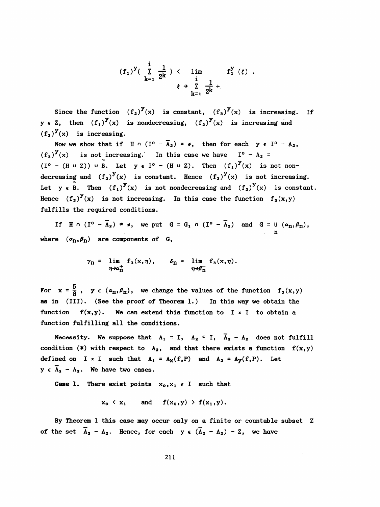$$
(f_1)^{y}(\begin{array}{ccc} i & \frac{1}{2k} \\ k=1 & 2^{k} \end{array}) \leftarrow \lim_{\begin{array}{c} i \\ k=1 \end{array}} f_1^{y}(\xi) .
$$

Since the function  $(f_2)^y(x)$  is constant,  $(f_3)^y(x)$  is increasing. **If**  $y \in Z$ , then  $(f_1)^y(x)$  is nondecreasing,  $(f_2)^y(x)$  is increasing and  $(f_3)^y(x)$  is increasing.

Now we show that if H  $\circ$  (I<sup>o</sup> -  $\overline{A}_2$ ) =  $\circ$ , then for each y  $\in$  I<sup>o</sup> - A<sub>2</sub>,  $(f_3)^y(x)$  is not increasing. In this case we have  $I^0 - A_2 =$  $(I^o - (H \cup Z)) \cup \widetilde{B}$ . Let  $y \in I^o - (H \cup Z)$ . Then  $(f_i)^y(x)$  is not nondecreasing and  $(f_2)^y(x)$  is constant. Hence  $(f_3)^y(x)$  is not increasing. Let  $y \in \widetilde{B}$ . Then  $(f_1)^y(x)$  is not nondecreasing and  $(f_2)^y(x)$  is constant. Hence  $(f_3)^y(x)$  is not increasing. In this case the function  $f_3(x,y)$ fulfills the required conditions.

If  $H \cap (I^{\circ} - A_2) = \emptyset$ , we put  $G = G_1 \cap (I^{\circ} - A_2)$  and  $G = U(\alpha_n, \beta_n)$ , n where  $(\alpha_{n}, \beta_{n})$  are components of G,

$$
\gamma_{n} = \lim_{\eta \to \alpha_{n}^{+}} f_{3}(x, \eta), \qquad \delta_{n} = \lim_{\eta \to \beta_{n}^{-}} f_{3}(x, \eta).
$$

ວ For  $x = 8$ ,  $y \in \text{(``n)},$  we change the values of the f as in (III). (See the proof of Theorem 1.) In this way we obtain the function  $f(x,y)$ . We can extend this function to I x I to obtain a function fulfilling all the conditions.

Necessity. We suppose that  $A_1 = I$ ,  $A_2 \subset I$ ,  $\overline{A}_2 - A_2$  does not fulfill condition (\*) with respect to  $A_2$ , and that there exists a function  $f(x,y)$ defined on I × I such that  $A_1 = A_X(f, P)$  and  $A_2 = A_Y(f, P)$ . Let  $y \in \overline{A}_2 - A_2$ . We have two cases.

**Case 1.** There exist points  $x_0, x_1 \in I$  such that

$$
x_0 \langle x_1 \quad \text{and} \quad f(x_0, y) \rangle f(x_1, y).
$$

 By Theorem 1 this case may occur only on a finite or countable subset Z of the set  $\overline{A}_2 - A_2$ . Hence, for each  $y \in (\overline{A}_2 - A_2) - Z$ , we have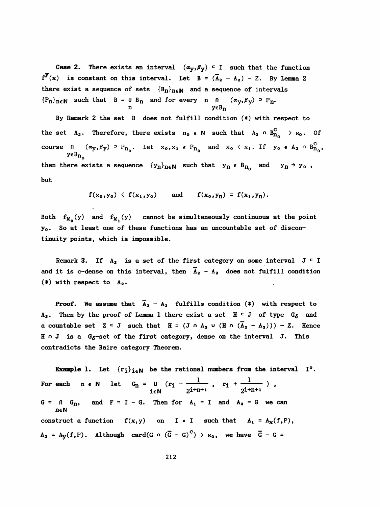Case 2. There exists an interval  $(\alpha_y,\beta_y)$  c I such that the function  $f^{y}(x)$  is constant on this interval. Let  $B = (\overline{A}_{2} - A_{2}) - Z$ . By Lemma 2 there exist a sequence of sets  ${B_n}_{n \in \mathbb{N}}$  and a sequence of intervals  ${P_n}_{n \in \mathbb{N}}$  such that  $B = U B_n$  and for every n  $( \alpha_y, \beta_y)$  <sup>3</sup> P<sub>n</sub>.  $\begin{array}{ccc}\n\bullet & \bullet & \bullet & \bullet & \bullet & \bullet \\
\bullet & \bullet & \bullet & \bullet & \bullet & \bullet & \bullet \\
\bullet & \bullet & \bullet & \bullet & \bullet & \bullet & \bullet \\
\bullet & \bullet & \bullet & \bullet & \bullet & \bullet & \bullet & \bullet \\
\bullet & \bullet & \bullet & \bullet & \bullet & \bullet & \bullet & \bullet \\
\bullet & \bullet & \bullet & \bullet & \bullet & \bullet & \bullet & \bullet & \bullet \\
\bullet & \bullet & \bullet & \bullet & \bullet & \bullet & \bullet & \bullet & \bullet \\
\bullet & \bullet & \bullet & \bullet & \bullet & \bullet & \bullet & \bullet & \bullet & \bullet \\
\bullet & \bullet & \bullet & \bullet & \bullet & \bullet & \bullet$ 

 By Remark 2 the set B does not fulfill condition (\*) with respect to the set  $A_2$ . Therefore, there exists  $n_0 \in \mathbb{N}$  such that  $A_2 \cap B_{n_0}^C \to \kappa_0$ . Of course  $n \quad (\alpha_y, \beta_y) \supset P_{n_0}$ . Let  $x_0, x_1 \in P_{n_0}$  and  $x_0 \le x_1$ . If  $y_0 \in A_2 \cap B_{n_0}^C$ ,  $y \in B_{n_0}$ then there exists a sequence  ${y_n}_{n \in \mathbb{N}}$  such that  $y_n \in B_{n_0}$  and  $y_n \rightarrow y_0$ , but

$$
f(x_0, y_0) \langle f(x_1, y_0) \text{ and } f(x_0, y_n) = f(x_1, y_n).
$$

Both  $f_{X_0}(y)$  and  $f_{X_1}(y)$  cannot be simultaneously continuous at the point y<sub>o</sub>. So at least one of these functions has an uncountable set of discontinuity points, which is impossible.

Remark 3. If  $A_2$  is a set of the first category on some interval  $J \subset I$ and it is c-dense on this interval, then  $A_2 - A_2$  does not fulfill condition  $(*)$  with respect to  $A_2$ .

**Proof.** We assume that  $\overline{A}_2 - A_2$  fulfills condition (\*) with respect to  $A_2$ . Then by the proof of Lemma 1 there exist a set  $H \subset J$  of type  $G_{\delta}$  and a countable set  $Z \subseteq J$  such that  $H = (J \cap A_2 \cup (H \cap (\overline{A}_2 - A_2))) - Z$ . Hence  $H \cap J$  is a  $G_{\delta}$ -set of the first category, dense on the interval J. This contradicts the Baire category Theorem.

**Example 1.** Let  $\{r_i\}_{i \in \mathbb{N}}$  be the rational numbers from the interval  $I^0$ . For each n  $\epsilon$  N let  $G_n = U (r_i - \frac{1}{2^{i+n+1}} , r_i + \frac{1}{2^{i+n+1}})$ ,  $G = 0$   $G_n$ , and  $F = I - G$ . Then for  $A_1 = I$  and  $A_2 = G$  we can neN construct a function  $f(x,y)$  on I x I such that  $A_1 = A_X(f,P)$ ,  $A_2 = A_y(f, P)$ . Although card(G  $\circ$  ( $\overline{G} - G$ ) >  $x_0$ , we have  $\overline{G} - G =$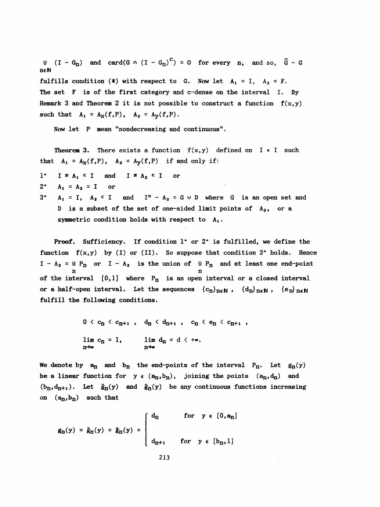U  $(I - G_n)$  and card(G  $\circ$   $(I - G_n)^C$ ) = 0 for every n, and so,  $\overline{G}$  - G ncN fulfills condition (\*) with respect to G. Now let  $A_1 = I$ ,  $A_2 = F$ . The set F is of the first category and c-dense on the interval I. By Remark 3 and Theorem 2 it is not possible to construct a function  $f(x,y)$ such that  $A_1 = A_X(f, P)$ ,  $A_2 = A_Y(f, P)$ .

Now let P mean "nondecreasing and continuous".

**Theorem 3.** There exists a function  $f(x,y)$  defined on  $I \times I$  such that  $A_1 = A_X(f, P)$ ,  $A_2 = A_Y(f, P)$  if and only if:

- 1\*  $I \neq A_1 \subseteq I$  and  $I \neq A_2 \subseteq I$  or
- $2^*$   $A_1 = A_2 = I$  or
- 3\*  $A_1 = I$ ,  $A_2 \subset I$  and  $I^0 A_2 = G \cup D$  where G is an open set and D is a subset of the set of one-sided limit points of  $A_2$ , or a symmetric condition holds with respect to  $A_1$ .

 Proof. Sufficiency. If condition 1\* or 2\* is fulfilled, we define the function  $f(x,y)$  by (I) or (II). So suppose that condition 3<sup>\*</sup> holds. Hence of the interval  $[0,1]$  where  $P_n$  is an open interval or a closed interval  $I - A_2 = U P_n$  or  $I - A_2$  is the union of U  $P_n$  and at least one end-point Sufficiency. If condition 1° or<br>
f(x,y) by (I) or (II). So suppose<br>
U P<sub>n</sub> or I - A<sub>2</sub> is the union of U<br>
n<br>
terval [0,1] where P<sub>n</sub> is an open or a half-open interval. Let the sequences  ${c_n}_{n \in \mathbb{N}}$ ,  ${d_n}_{n \in \mathbb{N}}$ ,  ${e_n}_{n \in \mathbb{N}}$ fulfill the following conditions.

$$
0 < c_n < c_{n+1} \,, \quad d_n < d_{n+1} \,, \quad c_n < e_n < c_{n+1} \,,
$$
\n
$$
\lim_{n \to \infty} c_n = 1, \qquad \lim_{n \to \infty} d_n = d < +\infty.
$$

We denote by  $a_n$  and  $b_n$  the end-points of the interval  $P_n$ . Let  $g_n(y)$ be a linear function for  $y \in (a_n, b_n)$ , joining the points  $(a_n, d_n)$  and  $(b_n,d_{n+1})$ . Let  $\check{g}_n(y)$  and  $\hat{g}_n(y)$  be any continuous functions increasing on  $(a_n, b_n)$  such that

$$
\mathbf{g}_n(\mathbf{y}) = \check{\mathbf{g}}_n(\mathbf{y}) = \hat{\mathbf{g}}_n(\mathbf{y}) = \begin{cases} d_n & \text{for } \mathbf{y} \in [0, \mathbf{a}_n] \\ d_{n+1} & \text{for } \mathbf{y} \in [\mathbf{b}_n, 1] \end{cases}
$$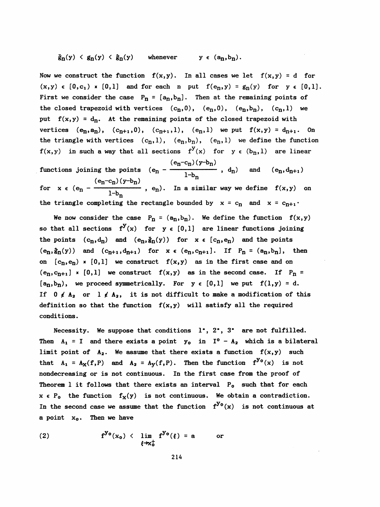## $\check{g}_{n}(y) \leq g_{n}(y) \leq \hat{g}_{n}(y)$  whenever  $y \in (a_{n}, b_{n}).$

Now we construct the function  $f(x,y)$ . In all cases we let  $f(x,y) = d$  for  $(x,y) \in [0,c_1)$  x  $[0,1]$  and for each n put  $f(e_n,y) = g_n(y)$  for  $y \in [0,1]$ . First we consider the case  $P_n = [a_n, b_n]$ . Then at the remaining points of the closed trapezoid with vertices  $(c_n,0)$ ,  $(e_n,0)$ ,  $(e_n,b_n)$ ,  $(c_n,1)$  we put  $f(x,y) = d_n$ . At the remaining points of the closed trapezoid with vertices  $(e_n, a_n)$ ,  $(c_{n+1}, 0)$ ,  $(c_{n+1}, 1)$ ,  $(e_n, 1)$  we put  $f(x, y) = d_{n+1}$ . On the triangle with vertices  $(c_n, l)$ ,  $(e_n, b_n)$ ,  $(e_n, l)$  we define the function  $f(x,y)$  in such a way that all sections  $f^{y}(x)$  for  $y \in (b_n,1)$  are linear  $(e_n-c_n)(y-b_n)$ functions joining the points  $(e_n - \frac{1}{1-\alpha})$  $(e_n - c_n)(y - b_n)$ <sup>1-b</sup>n for  $x \in (e_n -$ 

We now consider the case  $P_n = (a_n, b_n)$ . We define the function  $f(x, y)$ so that all sections  $f^{y}(x)$  for  $y \in [0,1]$  are linear functions joining the points  $(c_n, d_n)$  and  $(e_n, \xi_n(y))$  for  $x \in (c_n, e_n)$  and the points  $(e_n, \hat{g}_n(y))$  and  $(c_{n+1}, d_{n+1})$  for  $x \in (e_n, c_{n+1}]$ . If  $P_n = (a_n, b_n]$ , then on  $[c_n,e_n)$  x  $[0,1]$  we construct  $f(x,y)$  as in the first case and on  $(e_n, c_{n+1}]$  x [0,1] we construct  $f(x,y)$  as in the second case. If  $P_n =$  $[a_n, b_n)$ , we proceed symmetrically. For  $y \in [0,1]$  we put  $f(1,y) = d$ . If  $0 \neq A_2$  or  $1 \neq A_2$ , it is not difficult to make a modification of this definition so that the function  $f(x,y)$  will satisfy all the required conditions.

the triangle completing the rectangle bounded by  $x = c_n$  and  $x = c_{n+1}$ .

Necessity. We suppose that conditions  $1^{\circ}$ ,  $2^{\circ}$ ,  $3^{\circ}$  are not fulfilled. Then  $A_1 = I$  and there exists a point  $y_0$  in  $I^0 - A_2$  which is a bilateral limit point of  $A_2$ . We assume that there exists a function  $f(x,y)$  such that  $A_1 = A_X(f, P)$  and  $A_2 = A_Y(f, P)$ . Then the function  $f^{y_0}(x)$  is not nondecreasing or is not continuous. In the first case from the proof of Theorem 1 it follows that there exists an interval  $P_0$  such that for each  $x \in P_0$  the function  $f_X(y)$  is not continuous. We obtain a contradiction. In the second case we assume that the function  $f^{y_0}(x)$  is not continuous at a point  $x_0$ . Then we have

(2) 
$$
f^{y_0}(x_0) \leftarrow \lim_{\xi \to x_0^+} f^{y_0}(\xi) = a \quad \text{or}
$$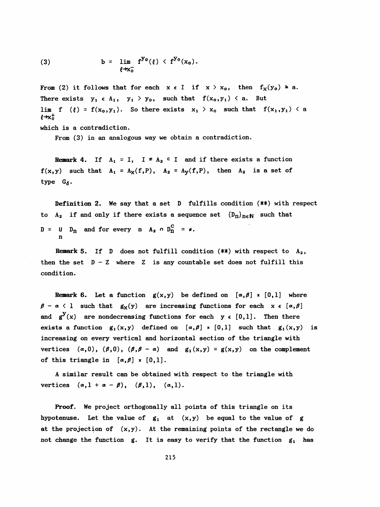(3) 
$$
b = \lim_{\xi \to x_0^-} f^{y_0}(\xi) \langle f^{y_0}(x_0).
$$

From (2) it follows that for each  $x \in I$  if  $x > x_0$ , then  $f_X(y_0) \ge a$ . There exists  $y_1 \in A_1$ ,  $y_1 > y_0$ , such that  $f(x_0, y_1) < a$ . But lim f  $(\xi) = f(x_0, y_1)$ . So there exists  $x_1 > x_0$  such that  $f(x_1, y_1) < a$  $f \rightarrow x_0^+$ 

which is a contradiction.

From (3) in an analogous way we obtain a contradiction.

Remark 4. If  $A_1 = I$ ,  $I \neq A_2 \subseteq I$  and if there exists a function  $f(x,y)$  such that  $A_1 = A_X(f,P)$ ,  $A_2 = A_Y(f,P)$ , then  $A_2$  is a set of type  $G_{\delta}$ .

 Definition 2. We say that a set D fulfills condition (\*\*) with respect to A<sub>2</sub> if and only if there exists a sequence set  ${D_n}_{n \in \mathbb{N}}$  such that  $D = U D_n$  and for every n  $A_2 \cap D_n^C = \emptyset$ . n

**Remark 5.** If D does not fulfill condition  $(**)$  with respect to  $A_2$ , then the set  $D - Z$  where Z is any countable set does not fulfill this condition.

Remark 6. Let a function  $g(x,y)$  be defined on  $[\alpha,\beta] \times [0,1]$  where  $\beta - \alpha < 1$  such that  $g_X(y)$  are increasing functions for each  $x \in [\alpha, \beta]$ and  $g^{y}(x)$  are nondecreasing functions for each  $y \in [0,1]$ . Then there exists a function  $g_1(x,y)$  defined on  $\lbrack \alpha,\beta \rbrack$  x  $\lbrack 0,1 \rbrack$  such that  $g_1(x,y)$  is increasing on every vertical and horizontal section of the triangle with vertices  $(\alpha,0)$ ,  $(\beta,0)$ ,  $(\beta,\beta-\alpha)$  and  $g_1(x,y) = g(x,y)$  on the complement of this triangle in  $[\alpha, \beta] \times [0,1]$ .

 A similar result can be obtained with respect to the triangle with vertices  $(\alpha, 1 + \alpha - \beta), (\beta, 1), (\alpha, 1).$ 

 Proof. We project orthogonally all points of this triangle on its hypotenuse. Let the value of  $g_1$  at  $(x,y)$  be equal to the value of g at the projection of  $(x,y)$ . At the remaining points of the rectangle we do not change the function  $g$ . It is easy to verify that the function  $g_1$  has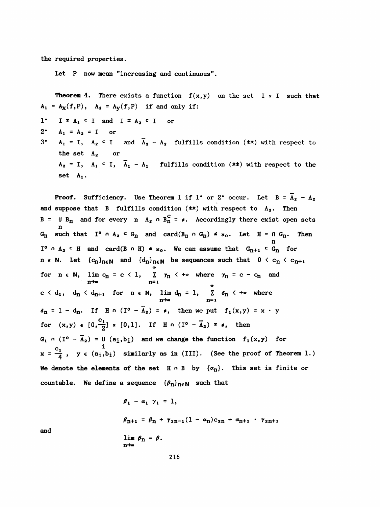the required properties.

Let P now mean "increasing and continuous".

**Theorem 4.** There exists a function  $f(x,y)$  on the set I x I such that  $A_1 = A_X(f, P)$ ,  $A_2 = A_Y(f, P)$  if and only if:  $1^*$  I  $\neq$  A<sub>1</sub> c I and I  $\neq$  A<sub>2</sub> c I or  $2^*$  A<sub>1</sub> = A<sub>2</sub> = I or 3\*  $A_1 = I$ ,  $A_2 \subset I$  and  $\overline{A}_2 - A_2$  fulfills condition (\*\*) with respect to the set  $A_2$  or  $A_2 = I$ ,  $A_1 \subset I$ ,  $\overline{A}_1 - A_1$  fulfills condition (\*\*) with respect to the

set A<sub>1</sub>.

**Proof.** Sufficiency. Use Theorem 1 if 1° or 2° occur. Let  $B = \overline{A}_2 - A_2$ and suppose that B fulfills condition  $(**)$  with respect to  $A_2$ . Then B = U B<sub>n</sub> and for every n A<sub>2</sub>  $\cap$  B<sub>n</sub><sup>C</sup> =  $\neq$ . Accordingly there exist open sets n  $G_{n}$  such that I<sup>o</sup>  $n$  A<sub>2</sub> <sup>c</sup>  $G_{n}$  and card(B<sub>n</sub>  $n$   $G_{n}$ )  $\leq$   $\kappa_{0}$ . Let H =  $n$   $G_{n}$ . Then n I<sup>o</sup>  $A_2$  c H and card(B  $\circ$  H)  $\leq$   $\ltimes$ <sub>0</sub>. We can assume that  $G_{n+1}$  c  $G_n$  for n  $\epsilon$  N. Let  ${c_n}_{n\in\mathbb{N}}$  and  ${d_n}_{n\in\mathbb{N}}$  be sequences such that  $0 < c_n < c_{n+1}$  «9 for  $n \in \mathbb{N}$ ,  $\lim_{n \to \infty} c_n = c < 1$ ,  $\sum_{n=1}^{\infty} \gamma_n$   $\iff$  where  $\gamma_n = c - c_n$  and O  $c < d_1$ ,  $d_n < d_{n+1}$  for  $n \in \mathbb{N}$ ,  $\lim_{n \to \infty} d_n = 1$ ,  $\sum_{n=1}^{\infty} d_n < +\infty$  where  $\delta_{\mathbf{n}} = 1 - d_{\mathbf{n}}$ . If H  $\alpha$  (I<sup>o</sup> -  $\overline{A}_2$ ) =  $\epsilon$ , then we put  $f_1(x,y) = x \cdot y$ for  $(x,y) \in [0,\frac{c_1}{2}] \times [0,1]$ . If H  $\circ (I^0 - \overline{A}_2) \neq \bullet$ , then  $G_1$  n (I<sup>o</sup> -  $\overline{A}_2$ ) = U (a<sub>1</sub>,b<sub>1</sub>) and we change the function  $f_1(x,y)$  for<br> $x = \frac{C_1}{4}$ ,  $y \in (a_1,b_1)$  similarly as in (III). (See the proof of The  $x = \frac{c_1}{4}$ ,  $y \in (a_1, b_1)$  similarly as in (III). (See the proof of Theorem 1.) We denote the elements of the set  $H \cap B$  by  $\{\alpha_n\}$ . This set is finite or countable. We define a sequence  $\{\beta_n\}_{n\in\mathbb{N}}$  such that

> $\beta_1 - \alpha_1 \gamma_1 = 1$ ,  $\beta_{n+1} = \beta_n + \gamma_{2n-1}(1 - \alpha_n)c_{2n} + \alpha_{n+1} \cdot \gamma_{2n+1}$ lim  $\beta_n = \beta$ .

and

 $n \rightarrow \infty$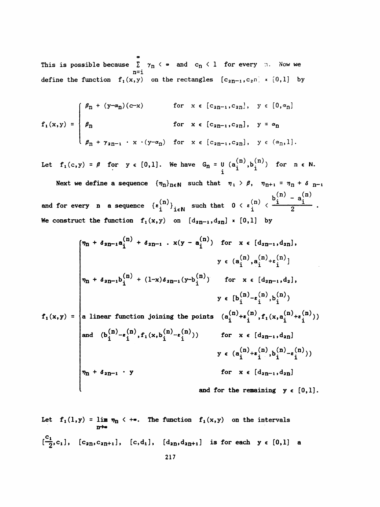o This is possible because  $\sum_{n=1}^\infty \gamma_n$  (  $\bullet$  ) and  $\lfloor c_n \rfloor$  (  $1$  ) for every in. Now we n=i define the function  $f_1(x,y)$  on the rectangles  $[c_{2n-1}, c_{2n}] \times [0,1]$  by

$$
f_{1}(x,y) = \begin{cases} \beta_{n} + (y-\alpha_{n})(c-x) & \text{for } x \in [c_{2n-1}, c_{2n}], y \in [0, \alpha_{n}] \\ \beta_{n} & \text{for } x \in [c_{2n-1}, c_{2n}], y = \alpha_{n} \\ \beta_{n} + \gamma_{2n-1} \cdot x \cdot (y-\alpha_{n}) & \text{for } x \in [c_{2n-1}, c_{2n}], y \in (\alpha_{n}, 1]. \end{cases}
$$

Let  $f_1(c,y) = \beta$  for  $y \in [0,1]$ . We have  $G_n = U(a_i^{(n)}, b_i^{(n)})$  for  $n \in \mathbb{N}$ .

Next we define a sequence  ${\lbrace \eta_n \rbrace}_{n \in \mathbb{N}}$  such that  ${\eta_1 > \beta}$ ,  ${\eta_{n+1} = \eta_1 + \delta_{n-1}}$ (n),  $v_1, v_2, (n)$   $b_i^{(n)} - a_i^{(n)}$ and for every n a sequence  $\{z_i^{(n)}\}_{i\in\mathbb{N}}$  such that  $0 < z_i^{(n)} < \frac{1}{2}$ We construct the function  $f_1(x,y)$  on  $[d_{2n-1},d_{2n}] \times [0,1]$  by

$$
f_{1}(x,y) = \begin{cases} \n\eta_{n} + \delta_{2n-1}a_{i}^{(n)} + \delta_{2n-1} \cdot x(y - a_{i}^{(n)}) & \text{for } x \in [d_{2n-1}, d_{2n}], \\
\eta_{n} + \delta_{2n-1}b_{i}^{(n)} + (1-x)\delta_{2n-1}(y-b_{i}^{(n)}) & \text{for } x \in [d_{2n-1}, d_{2}], \\
\eta_{n} + \delta_{2n-1}b_{i}^{(n)} + (1-x)\delta_{2n-1}(y-b_{i}^{(n)}) & \text{for } x \in [d_{2n-1}, d_{2}], \\
y \in [b_{i}^{(n)} - \varepsilon_{i}^{(n)}, b_{i}^{(n)})\n\end{cases}
$$
\n
$$
f_{1}(x,y) = \begin{cases} \na \text{ linear function joining the points } (a_{i}^{(n)} + \varepsilon_{i}^{(n)}, f_{1}(x, a_{i}^{(n)} + \varepsilon_{i}^{(n)})) \\ \n\text{and } (b_{i}^{(n)} - \varepsilon_{i}^{(n)}, f_{1}(x, b_{i}^{(n)} - \varepsilon_{i}^{(n)})) & \text{for } x \in [d_{2n-1}, d_{2n}] \\ \n\vdots & \vdots & \vdots \\ \n\eta_{n} + \delta_{2n-1} \cdot y & \text{for } x \in [d_{2n-1}, d_{2n}] \n\end{cases}
$$
\n
$$
f_{1}(x,y) = \begin{cases} \na_{1}^{(n)} + \varepsilon_{i}^{(n)}, b_{i}^{(n)} - \varepsilon_{i}^{(n)} \\ \n\vdots & \vdots \n\end{cases}
$$
\n
$$
f_{1}(x,y) = \begin{cases} \na_{1}^{(n)} + \varepsilon_{i}^{(n)}, f_{1}(x, a_{i}^{(n)} + \varepsilon_{i}^{(n)} \\ \n\vdots & \vdots \n\end{cases}
$$
\n
$$
f_{1}(x,y) = \begin{cases} \na_{1}^{(n)} + \varepsilon_{i}^{(n)}, f_{1}(x, a_{i}^{(n)} - \varepsilon_{i}^{(n)} \\ \n\vdots & \vdots \n\end{cases}
$$
\n
$$
f_{1}(x
$$

Let 
$$
f_1(1,y) = \lim_{n \to \infty} \eta_n \leq +\bullet
$$
. The function  $f_1(x,y)$  on the intervals  
\n
$$
[\frac{c_1}{2}, c_1], [c_{2n}, c_{2n+1}], [c, d_1], [d_{2n}, d_{2n+1}] \text{ is for each } y \in [0,1]
$$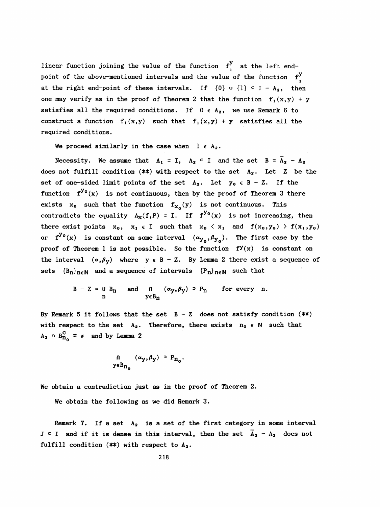linear function joining the value of the function  $f^y_i$  at the left endpoint of the above-mentioned intervals and the value of the function  $f^y$ . at the right end-point of these intervals. If  $\{0\}$   $\cup$   $\{1\}$   $\subset$  I - A<sub>2</sub>, then one may verify as in the proof of Theorem 2 that the function  $f_1(x,y) + y$ satisfies all the required conditions. If  $0 \in A_2$ , we use Remark 6 to construct a function  $f_1(x,y)$  such that  $f_1(x,y) + y$  satisfies all the required conditions.

We proceed similarly in the case when  $l \in A_2$ .

Necessity. We assume that  $A_1 = I$ ,  $A_2 \subset I$  and the set  $B = \overline{A}_2 - A_2$ does not fulfill condition  $(**)$  with respect to the set  $A_2$ . Let Z be the set of one-sided limit points of the set  $A_2$ . Let  $y_0 \in B - Z$ . If the function  $f^{y_0}(x)$  is not continuous, then by the proof of Theorem 3 there exists  $x_0$  such that the function  $f_{X_0}(y)$  is not continuous. This contradicts the equality  $A_X(f, P) = I$ . If  $f^{y_0}(x)$  is not increasing, then there exist points  $x_0$ ,  $x_1 \in I$  such that  $x_0 \langle x_1 \text{ and } f(x_0,y_0) \rangle f(x_1,y_0)$ or  $f^{y_0}(x)$  is constant on some interval  $(\alpha_{y_0}, \beta_{y_0})$ . The first case by the proof of Theorem 1 is not possible. So the function  $f^{y}(x)$  is constant on the interval  $(\alpha, \beta_y)$  where  $y \in B - Z$ . By Lemma 2 there exist a sequence of sets  ${B_n}_{n \in \mathbb{N}}$  and a sequence of intervals  ${P_n}_{n \in \mathbb{N}}$  such that

$$
B - Z = U B_n \quad \text{and} \quad 0 \quad (\alpha_y, \beta_y) \supset P_n \quad \text{for every } n.
$$
  

$$
y \in B_n
$$

By Remark 5 it follows that the set  $B - Z$  does not satisfy condition  $(**)$ with respect to the set  $A_2$ . Therefore, there exists  $n_0 \in N$  such that  $A_2 \cap B_{n_0}^C \neq \emptyset$  and by Lemma 2

$$
\begin{array}{ll} \n0 & (\alpha_y, \beta_y) \ni P_{n_0}. \\
y \in B_{n_0} \n\end{array}
$$

We obtain a contradiction just as in the proof of Theorem 2.

We obtain the following as we did Remark 3.

Remark 7. If a set  $A_2$  is a set of the first category in some interval J  $\subset$  I and if it is dense in this interval, then the set  $\bar{A}_2 - A_2$  does not fulfill condition  $(**)$  with respect to  $A_2$ .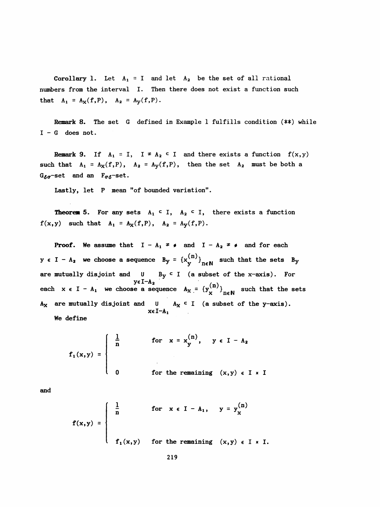Corollary 1. Let  $A_1 = I$  and let  $A_2$  be the set of all rational numbers from the interval I. Then there does not exist a function such that  $A_1 = A_X(f, P)$ ,  $A_2 = A_Y(f, P)$ .

 Remark 8. The set G defined in Example 1 fulfills condition (\*\*) while  $I - G$  does not.

Remark 9. If  $A_1 = I$ ,  $I \neq A_2 \subseteq I$  and there exists a function  $f(x,y)$ such that  $A_1 = A_X(f, P)$ ,  $A_2 = A_Y(f, P)$ , then the set  $A_2$  must be both a  $G_{\delta\sigma}$ -set and an  $F_{\sigma\delta}$ -set.

Lastly, let P mean "of bounded variation".

**Theorem 5.** For any sets  $A_1 \subset I$ ,  $A_2 \subset I$ , there exists a function  $f(x,y)$  such that  $A_1 = A_X(f,P)$ ,  $A_2 = A_Y(f,P)$ .

**Proof.** We assume that  $I - A_1 \neq \emptyset$  and  $I - A_2 \neq \emptyset$  and for each  $y \in I - A_2$  we choose a sequence  $B_y = {x_y^{(n)}\}_{n \in \mathbb{N}}$  such that the sets  $B_y$ are mutually disjoint and U B<sub>y</sub>  $\leq$  I (a subset of the x-axis). For  $y \in I - A_2$ yeI-A<sub>2</sub><br>e a sequence  $A_v = {v^{(n)}}$ each  $x \in I - A_1$  we choose a sequence  $A_X = \{y_X^{(II)}\}_{n \in \mathbb{N}}$  such that the sets  $A_X$  are mutually disjoint and  $\begin{array}{ccc} \mathsf{U} & A_X \subseteq \mathsf{I} & \text{(a subset of the y-axis)}. \end{array}$ xeI-A<sub>1</sub>

We define

$$
f_1(x,y) = \begin{cases} \frac{1}{n} & \text{for } x = x_y^{(n)}, y \in I - A_2 \\ 0 & \text{for the remaining } (x,y) \in I \times I \end{cases}
$$

and

$$
f(x,y) = \begin{cases} \frac{1}{n} & \text{for } x \in I - A_1, y = y_x^{(n)} \\ & \\ f_1(x,y) & \text{for the remaining } (x,y) \in I \times I. \end{cases}
$$